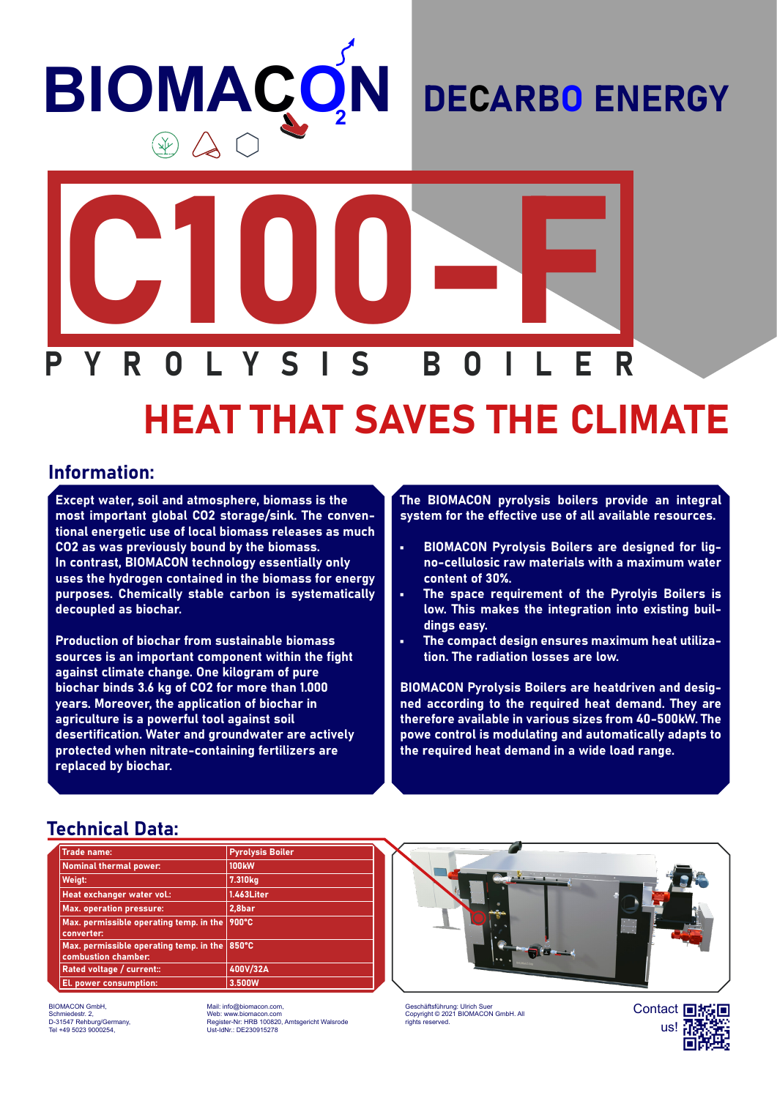# **BIOMAÇ N**

### DECARBO ENERGY



## HEAT THAT SAVES THE CLIMATE

#### Information:

Except water, soil and atmosphere, biomass is the most important global CO2 storage/sink. The conventional energetic use of local biomass releases as much CO2 as was previously bound by the biomass. In contrast, BIOMACON technology essentially only uses the hydrogen contained in the biomass for energy purposes. Chemically stable carbon is systematically decoupled as biochar.

Production of biochar from sustainable biomass sources is an important component within the fight against climate change. One kilogram of pure biochar binds 3.6 kg of CO2 for more than 1.000 years. Moreover, the application of biochar in agriculture is a powerful tool against soil desertification. Water and groundwater are actively protected when nitrate-containing fertilizers are replaced by biochar.

The BIOMACON pyrolysis boilers provide an integral system for the effective use of all available resources.

- BIOMACON Pyrolysis Boilers are designed for ligno-cellulosic raw materials with a maximum water content of 30%.
- The space requirement of the Pyrolyis Boilers is low. This makes the integration into existing buildings easy.
- The compact design ensures maximum heat utilization. The radiation losses are low.

BIOMACON Pyrolysis Boilers are heatdriven and designed according to the required heat demand. They are therefore available in various sizes from 40-500kW. The powe control is modulating and automatically adapts to the required heat demand in a wide load range.

#### Technical Data:

| <b>Trade name:</b>                                             | <b>Pyrolysis Boiler</b> |  |
|----------------------------------------------------------------|-------------------------|--|
| <b>Nominal thermal power:</b>                                  | <b>100kW</b>            |  |
| Weigt:                                                         | 7.310 <sub>kg</sub>     |  |
| Heat exchanger water vol.:                                     | 1.463Liter              |  |
| <b>Max. operation pressure:</b>                                | 2,8bar                  |  |
| Max. permissible operating temp. in the<br>converter:          | 900°C                   |  |
| Max. permissible operating temp. in the<br>combustion chamber: | 850°C                   |  |
| Rated voltage / current::                                      | 400V/32A                |  |
| El. power consumption:                                         | 3.500W                  |  |

BIOMACON GmbH, Schmiedestr. 2, D-31547 Rehburg/Germany, Tel +49 5023 9000254,

Mail: info@biomacon.com, Web: www.biomacon.com Register-Nr: HRB 100820, Amtsgericht Walsrode Ust-IdNr.: DE230915278



Geschäftsführung: Ulrich Suer Copyright © 2021 BIOMACON GmbH. All rights reserved.